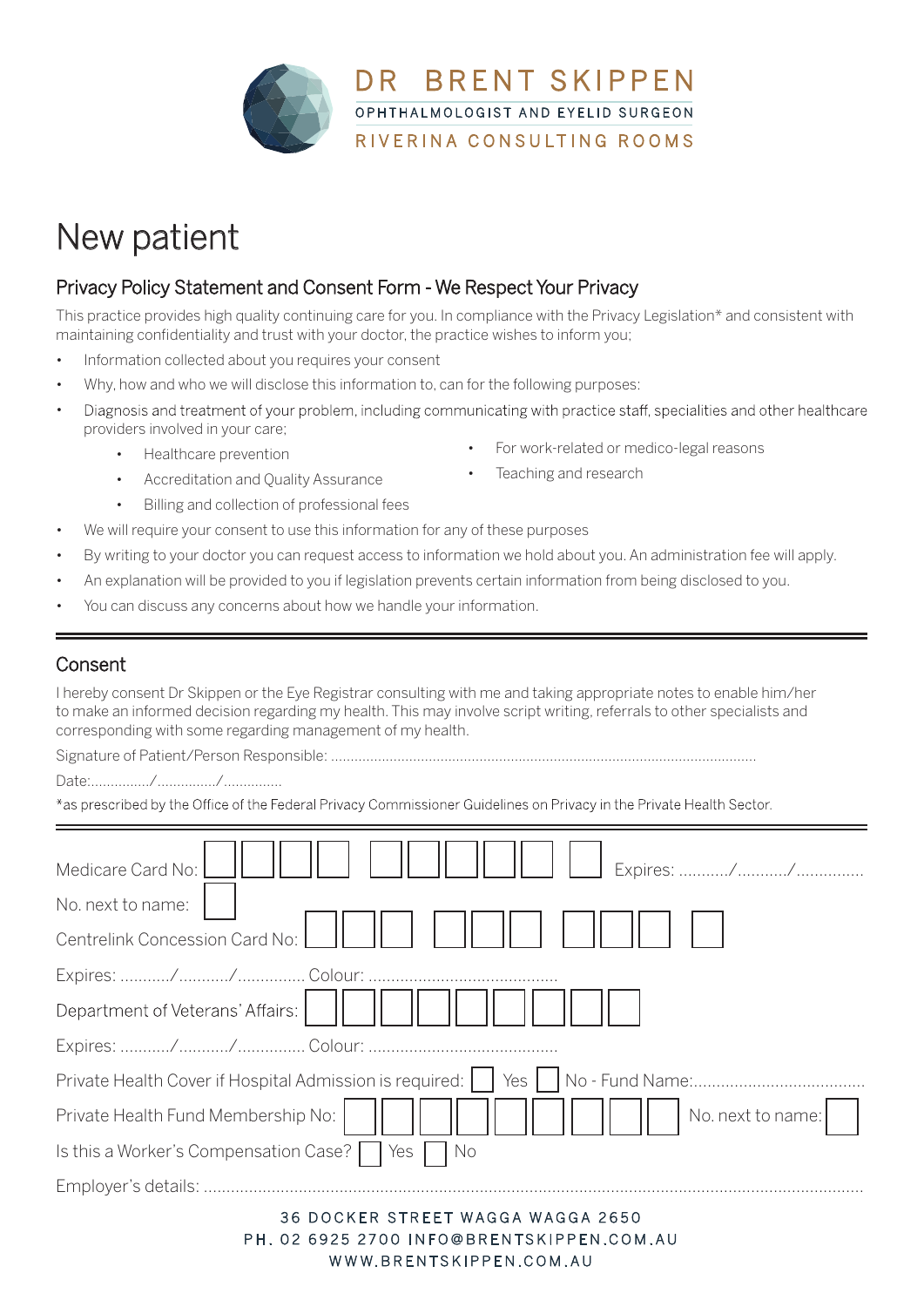

## New patient

## Privacy Policy Statement and Consent Form - We Respect Your Privacy

This practice provides high quality continuing care for you. In compliance with the Privacy Legislation\* and consistent with maintaining confidentiality and trust with your doctor, the practice wishes to inform you;

- Information collected about you requires your consent
- Why, how and who we will disclose this information to, can for the following purposes:
- Diagnosis and treatment of your problem, including communicating with practice staff, specialities and other healthcare • providers involved in your care;
	- Healthcare prevention
	- Accreditation and Quality Assurance
	- Billing and collection of professional fees
- We will require your consent to use this information for any of these purposes
- By writing to your doctor you can request access to information we hold about you. An administration fee will apply.
- An explanation will be provided to you if legislation prevents certain information from being disclosed to you.
- You can discuss any concerns about how we handle your information.

## Consent

I hereby consent Dr Skippen or the Eye Registrar consulting with me and taking appropriate notes to enable him/her to make an informed decision regarding my health. This may involve script writing, referrals to other specialists and corresponding with some regarding management of my health.

Signature of Patient/Person Responsible: .............................................................................................................

Date:.............../.............../...............

\*as prescribed by the Office of the Federal Privacy Commissioner Guidelines on Privacy in the Private Health Sector.

| Medicare Card No:                                                                   |
|-------------------------------------------------------------------------------------|
| No. next to name:                                                                   |
| Centrelink Concession Card No:                                                      |
|                                                                                     |
| Department of Veterans' Affairs:                                                    |
|                                                                                     |
| Private Health Cover if Hospital Admission is required:     Yes     No - Fund Name: |
| Private Health Fund Membership No:<br>No. next to name:                             |
| Is this a Worker's Compensation Case?     Yes     No                                |
|                                                                                     |
|                                                                                     |

36 DOCKER STREET WAGGA WAGGA 2650 PH, 02 6925 2700 INFO@BRENTSKIPPEN.COM.AU WWW.BRENTSKIPPEN.COM.AU

- For work-related or medico-legal reasons
- Teaching and research